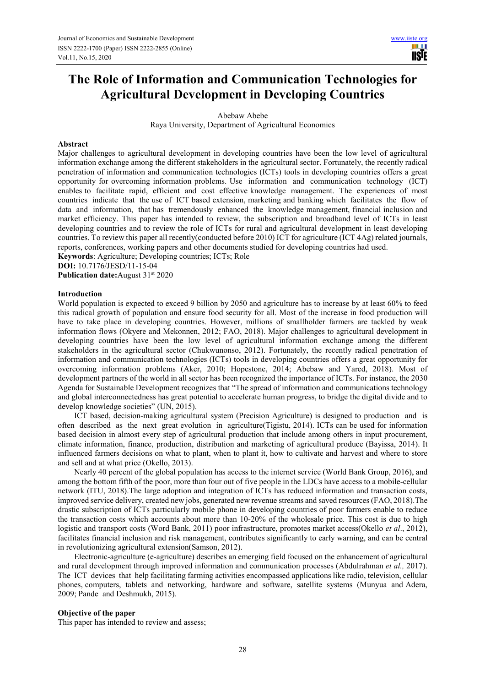# **The Role of Information and Communication Technologies for Agricultural Development in Developing Countries**

Abebaw Abebe

Raya University, Department of Agricultural Economics

## **Abstract**

Major challenges to agricultural development in developing countries have been the low level of agricultural information exchange among the different stakeholders in the agricultural sector. Fortunately, the recently radical penetration of information and communication technologies (ICTs) tools in developing countries offers a great opportunity for overcoming information problems. Use information and communication technology (ICT) enables to facilitate rapid, efficient and cost effective knowledge management. The experiences of most countries indicate that the use of ICT based extension, marketing and banking which facilitates the flow of data and information, that has tremendously enhanced the knowledge management, financial inclusion and market efficiency. This paper has intended to review, the subscription and broadband level of ICTs in least developing countries and to review the role of ICTs for rural and agricultural development in least developing countries. To review this paper all recently(conducted before 2010) ICT for agriculture (ICT 4Ag) related journals, reports, conferences, working papers and other documents studied for developing countries had used.

**Keywords**: Agriculture; Developing countries; ICTs; Role

**DOI:** 10.7176/JESD/11-15-04

**Publication date:**August 31<sup>st</sup> 2020

## **Introduction**

World population is expected to exceed 9 billion by 2050 and agriculture has to increase by at least 60% to feed this radical growth of population and ensure food security for all. Most of the increase in food production will have to take place in developing countries. However, millions of smallholder farmers are tackled by weak information flows (Okyere and Mekonnen, 2012; FAO, 2018). Major challenges to agricultural development in developing countries have been the low level of agricultural information exchange among the different stakeholders in the agricultural sector (Chukwunonso, 2012). Fortunately, the recently radical penetration of information and communication technologies (ICTs) tools in developing countries offers a great opportunity for overcoming information problems (Aker, 2010; Hopestone, 2014; Abebaw and Yared, 2018). Most of development partners of the world in all sector has been recognized the importance of ICTs. For instance, the 2030 Agenda for Sustainable Development recognizes that "The spread of information and communications technology and global interconnectedness has great potential to accelerate human progress, to bridge the digital divide and to develop knowledge societies" (UN, 2015).

ICT based, decision-making agricultural system (Precision Agriculture) is designed to production and is often described as the next great evolution in agriculture(Tigistu, 2014). ICTs can be used for information based decision in almost every step of agricultural production that include among others in input procurement, climate information, finance, production, distribution and marketing of agricultural produce (Bayissa, 2014). It influenced farmers decisions on what to plant, when to plant it, how to cultivate and harvest and where to store and sell and at what price (Okello, 2013).

Nearly 40 percent of the global population has access to the internet service (World Bank Group, 2016), and among the bottom fifth of the poor, more than four out of five people in the LDCs have access to a mobile-cellular network (ITU, 2018).The large adoption and integration of ICTs has reduced information and transaction costs, improved service delivery, created new jobs, generated new revenue streams and saved resources (FAO, 2018).The drastic subscription of ICTs particularly mobile phone in developing countries of poor farmers enable to reduce the transaction costs which accounts about more than 10-20% of the wholesale price. This cost is due to high logistic and transport costs (Word Bank, 2011) poor infrastructure, promotes market access(Okello *et al*., 2012), facilitates financial inclusion and risk management, contributes significantly to early warning, and can be central in revolutionizing agricultural extension(Samson, 2012).

Electronic-agriculture (e-agriculture) describes an emerging field focused on the enhancement of agricultural and rural development through improved information and communication processes (Abdulrahman *et al.,* 2017). The ICT devices that help facilitating farming activities encompassed applications like radio, television, cellular phones, computers, tablets and networking, hardware and software, satellite systems (Munyua and Adera, 2009; Pande and Deshmukh, 2015).

## **Objective of the paper**

This paper has intended to review and assess;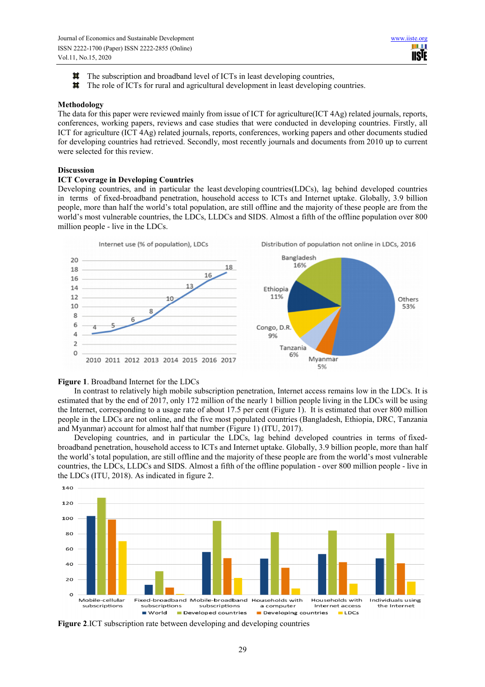HH I **USIE** 

- The subscription and broadband level of ICTs in least developing countries, **In**
- $\mathbb{R}^n$ The role of ICTs for rural and agricultural development in least developing countries.

#### **Methodology**

The data for this paper were reviewed mainly from issue of ICT for agriculture(ICT 4Ag) related journals, reports, conferences, working papers, reviews and case studies that were conducted in developing countries. Firstly, all ICT for agriculture (ICT 4Ag) related journals, reports, conferences, working papers and other documents studied for developing countries had retrieved. Secondly, most recently journals and documents from 2010 up to current were selected for this review.

## **Discussion**

### **ICT Coverage in Developing Countries**

Developing countries, and in particular the least developing countries(LDCs), lag behind developed countries in terms of fixed-broadband penetration, household access to ICTs and Internet uptake. Globally, 3.9 billion people, more than half the world's total population, are still offline and the majority of these people are from the world's most vulnerable countries, the LDCs, LLDCs and SIDS. Almost a fifth of the offline population over 800 million people - live in the LDCs.



## **Figure 1**. Broadband Internet for the LDCs

In contrast to relatively high mobile subscription penetration, Internet access remains low in the LDCs. It is estimated that by the end of 2017, only 172 million of the nearly 1 billion people living in the LDCs will be using the Internet, corresponding to a usage rate of about 17.5 per cent (Figure 1). It is estimated that over 800 million people in the LDCs are not online, and the five most populated countries (Bangladesh, Ethiopia, DRC, Tanzania and Myanmar) account for almost half that number (Figure 1) (ITU, 2017).

Developing countries, and in particular the LDCs, lag behind developed countries in terms of fixedbroadband penetration, household access to ICTs and Internet uptake. Globally, 3.9 billion people, more than half the world's total population, are still offline and the majority of these people are from the world's most vulnerable countries, the LDCs, LLDCs and SIDS. Almost a fifth of the offline population - over 800 million people - live in the LDCs (ITU, 2018). As indicated in figure 2.



**Figure 2**.ICT subscription rate between developing and developing countries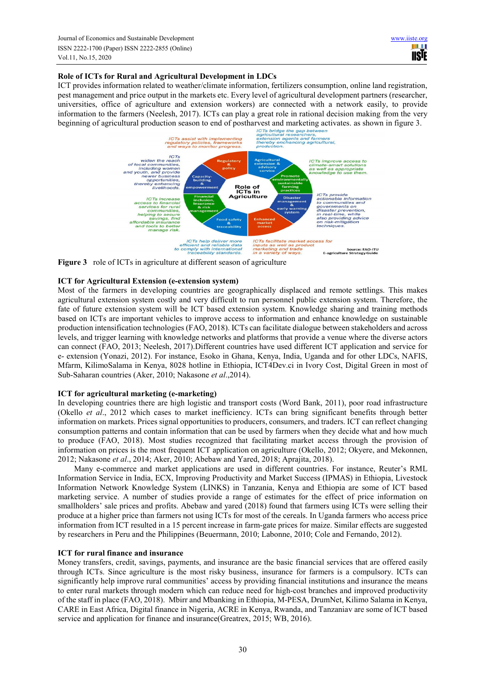# **Role of ICTs for Rural and Agricultural Development in LDCs**

ICT provides information related to weather/climate information, fertilizers consumption, online land registration, pest management and price output in the markets etc. Every level of agricultural development partners (researcher, universities, office of agriculture and extension workers) are connected with a network easily, to provide information to the farmers (Neelesh, 2017). ICTs can play a great role in rational decision making from the very



**Figure 3** role of ICTs in agriculture at different season of agriculture

# **ICT for Agricultural Extension (e-extension system)**

Most of the farmers in developing countries are geographically displaced and remote settlings. This makes agricultural extension system costly and very difficult to run personnel public extension system. Therefore, the fate of future extension system will be ICT based extension system. Knowledge sharing and training methods based on ICTs are important vehicles to improve access to information and enhance knowledge on sustainable production intensification technologies (FAO, 2018). ICTs can facilitate dialogue between stakeholders and across levels, and trigger learning with knowledge networks and platforms that provide a venue where the diverse actors can connect (FAO, 2013; Neelesh, 2017).Different countries have used different ICT application and service for e- extension (Yonazi, 2012). For instance, Esoko in Ghana, Kenya, India, Uganda and for other LDCs, NAFIS, Mfarm, KilimoSalama in Kenya, 8028 hotline in Ethiopia, ICT4Dev.ci in Ivory Cost, Digital Green in most of Sub-Saharan countries (Aker, 2010; Nakasone *et al*.,2014).

# **ICT for agricultural marketing (e-marketing)**

In developing countries there are high logistic and transport costs (Word Bank, 2011), poor road infrastructure (Okello *et al*., 2012 which cases to market inefficiency. ICTs can bring significant benefits through better information on markets. Prices signal opportunities to producers, consumers, and traders. ICT can reflect changing consumption patterns and contain information that can be used by farmers when they decide what and how much to produce (FAO, 2018). Most studies recognized that facilitating market access through the provision of information on prices is the most frequent ICT application on agriculture (Okello, 2012; Okyere, and Mekonnen, 2012; Nakasone *et al*., 2014; Aker, 2010; Abebaw and Yared, 2018; Aprajita, 2018).

Many e-commerce and market applications are used in different countries. For instance, Reuter's RML Information Service in India, ECX, Improving Productivity and Market Success (IPMAS) in Ethiopia, Livestock Information Network Knowledge System (LINKS) in Tanzania, Kenya and Ethiopia are some of ICT based marketing service. A number of studies provide a range of estimates for the effect of price information on smallholders' sale prices and profits. Abebaw and yared (2018) found that farmers using ICTs were selling their produce at a higher price than farmers not using ICTs for most of the cereals. In Uganda farmers who access price information from ICT resulted in a 15 percent increase in farm-gate prices for maize. Similar effects are suggested by researchers in Peru and the Philippines (Beuermann, 2010; Labonne, 2010; Cole and Fernando, 2012).

# **ICT for rural finance and insurance**

Money transfers, credit, savings, payments, and insurance are the basic financial services that are offered easily through ICTs. Since agriculture is the most risky business, insurance for farmers is a compulsory. ICTs can significantly help improve rural communities' access by providing financial institutions and insurance the means to enter rural markets through modern which can reduce need for high-cost branches and improved productivity of the staff in place (FAO, 2018). Mbirr and Mbanking in Ethiopia, M-PESA, DrumNet, Kilimo Salama in Kenya, CARE in East Africa, Digital finance in Nigeria, ACRE in Kenya, Rwanda, and Tanzaniav are some of ICT based service and application for finance and insurance(Greatrex, 2015; WB, 2016).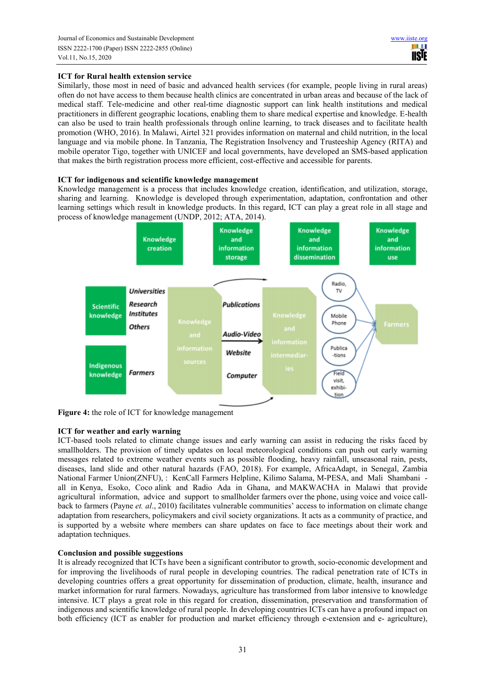# **ICT for Rural health extension service**

Similarly, those most in need of basic and advanced health services (for example, people living in rural areas) often do not have access to them because health clinics are concentrated in urban areas and because of the lack of medical staff. Tele-medicine and other real-time diagnostic support can link health institutions and medical practitioners in different geographic locations, enabling them to share medical expertise and knowledge. E-health can also be used to train health professionals through online learning, to track diseases and to facilitate health promotion (WHO, 2016). In Malawi, Airtel 321 provides information on maternal and child nutrition, in the local language and via mobile phone. In Tanzania, The Registration Insolvency and Trusteeship Agency (RITA) and mobile operator Tigo, together with UNICEF and local governments, have developed an SMS-based application that makes the birth registration process more efficient, cost-effective and accessible for parents.

# **ICT for indigenous and scientific knowledge management**

Knowledge management is a process that includes knowledge creation, identification, and utilization, storage, sharing and learning. Knowledge is developed through experimentation, adaptation, confrontation and other learning settings which result in knowledge products. In this regard, ICT can play a great role in all stage and process of knowledge management (UNDP, 2012; ATA, 2014).



**Figure 4:** the role of ICT for knowledge management

# **ICT for weather and early warning**

ICT-based tools related to climate change issues and early warning can assist in reducing the risks faced by smallholders. The provision of timely updates on local meteorological conditions can push out early warning messages related to extreme weather events such as possible flooding, heavy rainfall, unseasonal rain, pests, diseases, land slide and other natural hazards (FAO, 2018). For example, AfricaAdapt, in Senegal, Zambia National Farmer Union(ZNFU), : KenCall Farmers Helpline, Kilimo Salama, M-PESA, and Mali Shambani all in Kenya, Esoko, Coco alink and Radio Ada in Ghana, and MAKWACHA in Malawi that provide agricultural information, advice and support to smallholder farmers over the phone, using voice and voice callback to farmers (Payne *et. al*., 2010) facilitates vulnerable communities' access to information on climate change adaptation from researchers, policymakers and civil society organizations. It acts as a community of practice, and is supported by a website where members can share updates on face to face meetings about their work and adaptation techniques.

# **Conclusion and possible suggestions**

It is already recognized that ICTs have been a significant contributor to growth, socio-economic development and for improving the livelihoods of rural people in developing countries. The radical penetration rate of ICTs in developing countries offers a great opportunity for dissemination of production, climate, health, insurance and market information for rural farmers. Nowadays, agriculture has transformed from labor intensive to knowledge intensive. ICT plays a great role in this regard for creation, dissemination, preservation and transformation of indigenous and scientific knowledge of rural people. In developing countries ICTs can have a profound impact on both efficiency (ICT as enabler for production and market efficiency through e-extension and e- agriculture),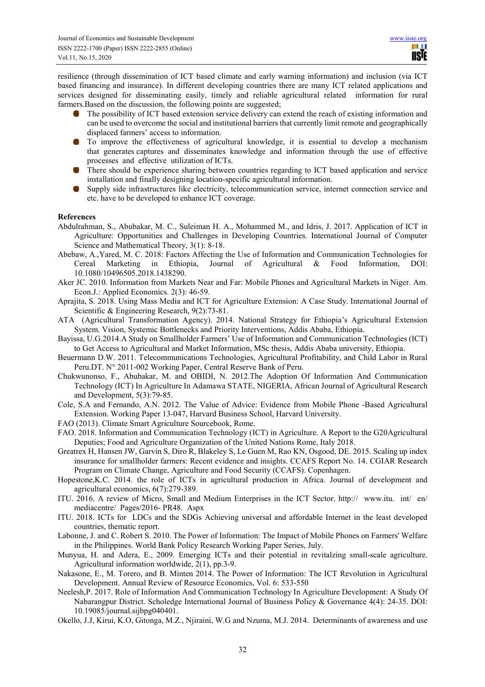resilience (through dissemination of ICT based climate and early warning information) and inclusion (via ICT based financing and insurance). In different developing countries there are many ICT related applications and services designed for disseminating easily, timely and reliable agricultural related information for rural farmers.Based on the discussion, the following points are suggested;

- **O** The possibility of ICT based extension service delivery can extend the reach of existing information and can be used to overcome the social and institutional barriers that currently limit remote and geographically displaced farmers' access to information.
- **O** To improve the effectiveness of agricultural knowledge, it is essential to develop a mechanism that generates captures and disseminates knowledge and information through the use of effective processes and effective utilization of ICTs.
- **O** There should be experience sharing between countries regarding to ICT based application and service installation and finally designing location-specific agricultural information.
- Supply side infrastructures like electricity, telecommunication service, internet connection service and m. etc. have to be developed to enhance ICT coverage.

## **References**

- Abdulrahman, S., Abubakar, M. C., Suleiman H. A., Mohammed M., and Idris, J. 2017. Application of ICT in Agriculture: Opportunities and Challenges in Developing Countries. International Journal of Computer Science and Mathematical Theory, 3(1): 8-18.
- Abebaw, A.,Yared, M. C. 2018: Factors Affecting the Use of Information and Communication Technologies for Cereal Marketing in Ethiopia, Journal of Agricultural & Food Information, DOI: 10.1080/10496505.2018.1438290.
- Aker JC. 2010. Information from Markets Near and Far: Mobile Phones and Agricultural Markets in Niger. Am. Econ.J.: Applied Economics. 2(3): 46-59.
- Aprajita, S. 2018. Using Mass Media and ICT for Agriculture Extension: A Case Study. International Journal of Scientific & Engineering Research, 9(2):73-81.
- ATA (Agricultural Transformation Agency). 2014. National Strategy for Ethiopia's Agricultural Extension System. Vision, Systemic Bottlenecks and Priority Interventions, Addis Ababa, Ethiopia.
- Bayissa, U.G.2014.A Study on Smallholder Farmers' Use of Information and Communication Technologies (ICT) to Get Access to Agricultural and Market Information, MSc thesis, Addis Ababa university, Ethiopia.
- Beuermann D.W. 2011. Telecommunications Technologies, Agricultural Profitability, and Child Labor in Rural Peru.DT. N° 2011-002 Working Paper, Central Reserve Bank of Peru.
- Chukwunonso, F., Abubakar, M. and OBIDI, N. 2012.The Adoption Of Information And Communication Technology (ICT) In Agriculture In Adamawa STATE, NIGERIA, African Journal of Agricultural Research and Development, 5(3):79-85.
- Cole, S.A and Fernando, A.N. 2012. The Value of Advice: Evidence from Mobile Phone -Based Agricultural Extension. Working Paper 13-047, Harvard Business School, Harvard University.
- FAO (2013). Climate Smart Agriculture Sourcebook, Rome.
- FAO. 2018. Information and Communication Technology (ICT) in Agriculture. A Report to the G20Agricultural Deputies; Food and Agriculture Organization of the United Nations Rome, Italy 2018.
- Greatrex H, Hansen JW, Garvin S, Diro R, Blakeley S, Le Guen M, Rao KN, Osgood, DE. 2015. Scaling up index insurance for smallholder farmers: Recent evidence and insights. CCAFS Report No. 14. CGIAR Research Program on Climate Change, Agriculture and Food Security (CCAFS). Copenhagen.
- Hopestone,K.C. 2014. the role of ICTs in agricultural production in Africa. Journal of development and agricultural economics, 6(7):279-389.
- ITU. 2016. A review of Micro, Small and Medium Enterprises in the ICT Sector. http:// www.itu. int/ en/ mediacentre/ Pages/2016- PR48. Aspx
- ITU. 2018. ICTs for LDCs and the SDGs Achieving universal and affordable Internet in the least developed countries, thematic report.
- Labonne, J. and C. Robert S. 2010. The Power of Information: The Impact of Mobile Phones on Farmers' Welfare in the Philippines. World Bank Policy Research Working Paper Series, July.
- Munyua, H. and Adera, E., 2009. Emerging ICTs and their potential in revitalzing small-scale agriculture. Agricultural information worldwide, 2(1), pp.3-9.
- Nakasone, E., M. Torero, and B. Minten 2014. The Power of Information: The ICT Revolution in Agricultural Development. Annual Review of Resource Economics, Vol. 6: 533-550
- Neelesh,P. 2017. Role of Information And Communication Technology In Agriculture Development: A Study Of Nabarangpur District. Scholedge International Journal of Business Policy & Governance 4(4): 24-35. DOI: 10.19085/journal.sijbpg040401.
- Okello, J.J, Kirui, K.O, Gitonga, M.Z., Njiraini, W.G and Nzuma, M.J. 2014. Determinants of awareness and use